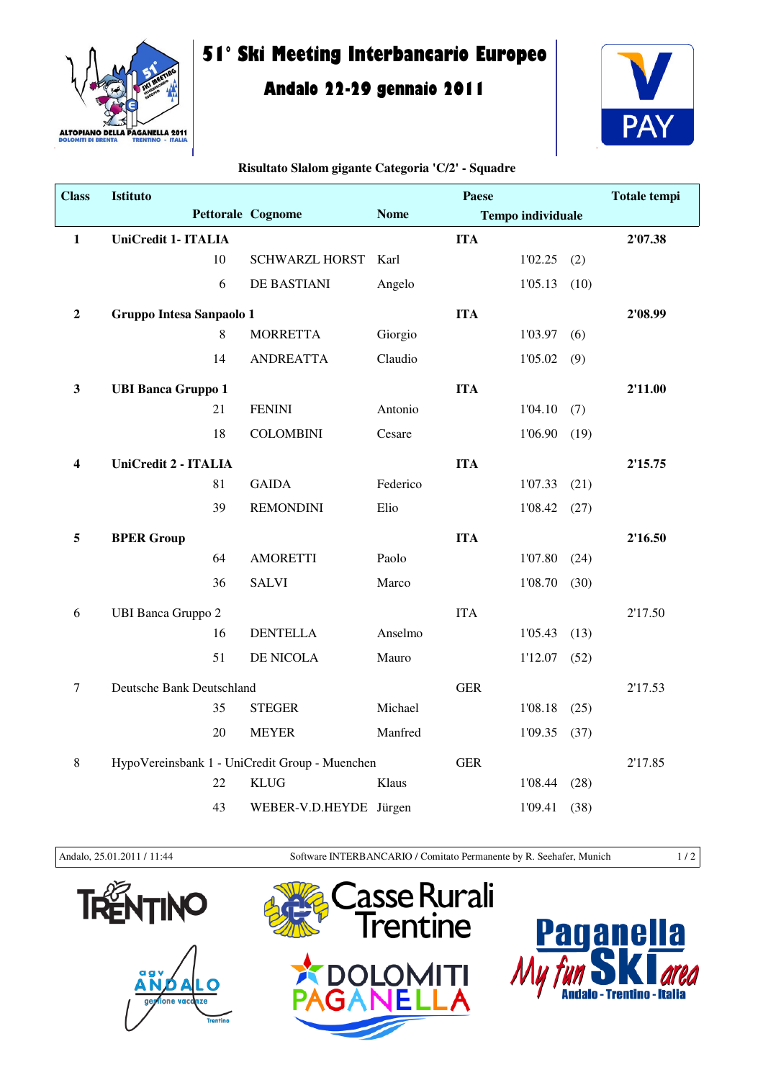

## **51° Ski Meeting Interbancario Europeo**

## **Andalo 22-29 gennaio 2011**



## **Risultato Slalom gigante Categoria 'C/2' - Squadre**

| <b>Class</b>     | Istituto                                       |                          |             | Paese      |                          |         | <b>Totale tempi</b> |
|------------------|------------------------------------------------|--------------------------|-------------|------------|--------------------------|---------|---------------------|
|                  |                                                | <b>Pettorale Cognome</b> | <b>Nome</b> |            | <b>Tempo individuale</b> |         |                     |
| $\mathbf 1$      | UniCredit 1- ITALIA                            |                          |             | <b>ITA</b> |                          |         | 2'07.38             |
|                  | 10                                             | <b>SCHWARZL HORST</b>    | Karl        |            | 1'02.25                  | (2)     |                     |
|                  | 6                                              | DE BASTIANI              | Angelo      |            | 1'05.13                  | (10)    |                     |
| $\boldsymbol{2}$ | Gruppo Intesa Sanpaolo 1                       |                          |             | <b>ITA</b> |                          |         | 2'08.99             |
|                  | 8                                              | <b>MORRETTA</b>          | Giorgio     |            | 1'03.97                  | (6)     |                     |
|                  | 14                                             | <b>ANDREATTA</b>         | Claudio     |            | 1'05.02                  | (9)     |                     |
| $\mathbf{3}$     | <b>UBI Banca Gruppo 1</b>                      |                          |             | <b>ITA</b> |                          |         | 2'11.00             |
|                  | 21                                             | <b>FENINI</b>            | Antonio     |            | 1'04.10                  | (7)     |                     |
|                  | 18                                             | <b>COLOMBINI</b>         | Cesare      |            | 1'06.90                  | (19)    |                     |
| 4                | UniCredit 2 - ITALIA                           |                          |             | <b>ITA</b> |                          |         | 2'15.75             |
|                  | 81                                             | <b>GAIDA</b>             | Federico    |            | 1'07.33                  | (21)    |                     |
|                  | 39                                             | <b>REMONDINI</b>         | Elio        |            | 1'08.42                  | (27)    |                     |
| 5                | <b>BPER Group</b>                              |                          |             | <b>ITA</b> |                          |         | 2'16.50             |
|                  | 64                                             | <b>AMORETTI</b>          | Paolo       |            | 1'07.80                  | (24)    |                     |
|                  | 36                                             | <b>SALVI</b>             | Marco       |            | 1'08.70                  | (30)    |                     |
| 6                | <b>UBI Banca Gruppo 2</b>                      |                          |             | <b>ITA</b> |                          |         | 2'17.50             |
|                  | 16                                             | <b>DENTELLA</b>          | Anselmo     |            | 1'05.43                  | (13)    |                     |
|                  | 51                                             | DE NICOLA                | Mauro       |            | 1'12.07                  | (52)    |                     |
| $\tau$           | Deutsche Bank Deutschland                      |                          | <b>GER</b>  |            |                          | 2'17.53 |                     |
|                  | 35                                             | <b>STEGER</b>            | Michael     |            | 1'08.18                  | (25)    |                     |
|                  | 20                                             | <b>MEYER</b>             | Manfred     |            | 1'09.35                  | (37)    |                     |
| 8                | HypoVereinsbank 1 - UniCredit Group - Muenchen |                          | <b>GER</b>  |            |                          | 2'17.85 |                     |
|                  | 22                                             | <b>KLUG</b>              | Klaus       |            | 1'08.44                  | (28)    |                     |
|                  | 43                                             | WEBER-V.D.HEYDE Jürgen   |             |            | 1'09.41                  | (38)    |                     |

Andalo, 25.01.2011 / 11:44 Software INTERBANCARIO / Comitato Permanente by R. Seehafer, Munich 1 / 2